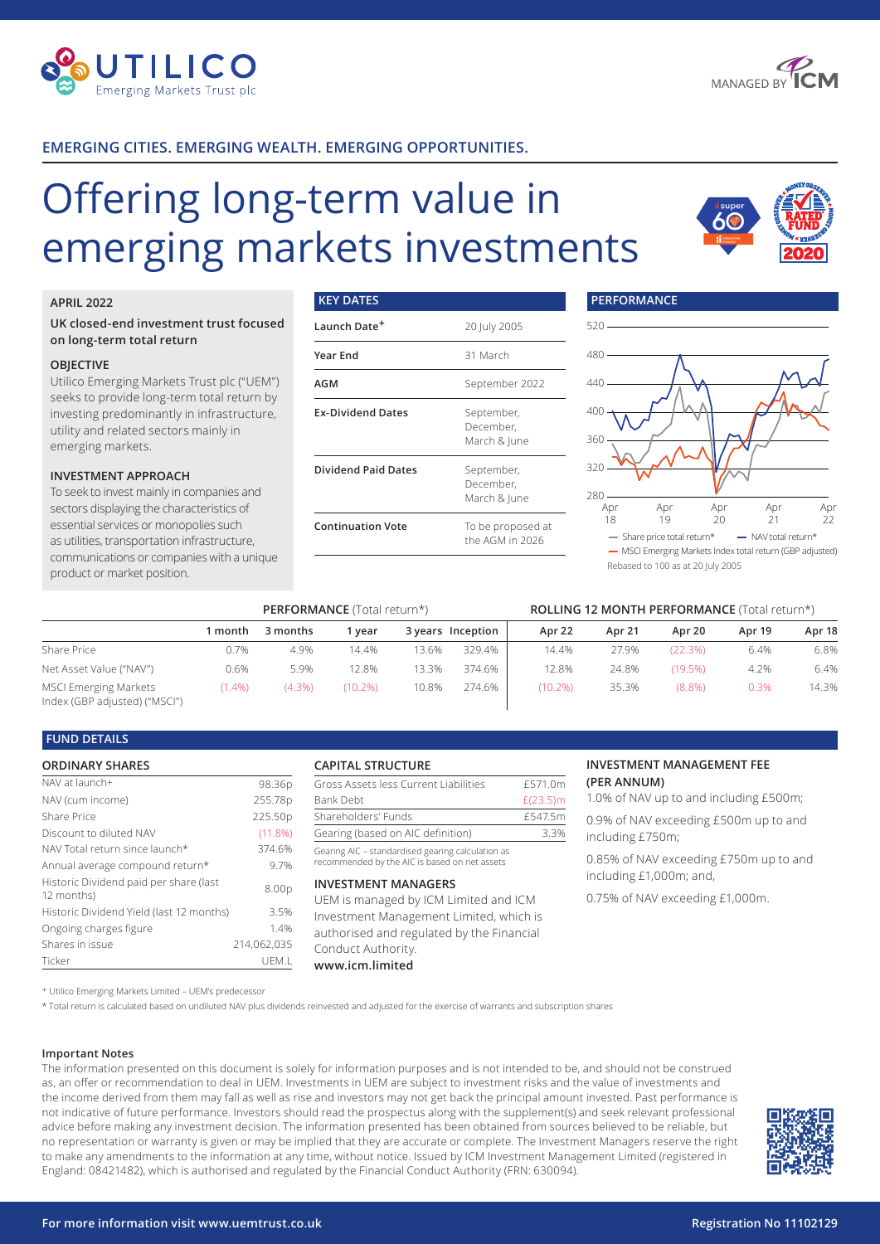



### **EMERGING CITIES. EMERGING WEALTH. EMERGING OPPORTUNITIES.**

# Offering long-term value in emerging markets investments

**KEY DATES**



#### **APRIL 2022**

#### **UK closed-end investment trust focused on long-term total return**

#### **OBJECTIVE**

Utilico Emerging Markets Trust plc ("UEM") seeks to provide long-term total return by investing predominantly in infrastructure, utility and related sectors mainly in emerging markets.

#### **INVESTMENT APPROACH**

To seek to invest mainly in companies and sectors displaying the characteristics of essential services or monopolies such as utilities, transportation infrastructure, communications or companies with a unique product or market position.

## **Launch Date+** 20 July 2005 **Year End** 31 March **AGM** September 2022 **Ex-Dividend Dates** September, December, March & June **Dividend Paid Dates** September, December, March & June **Continuation Vote** To be proposed at the AGM in 2026



Rebased to 100 as at 20 July 2005

**PERFORMANCE**

|                                                               | <b>PERFORMANCE</b> (Total return*) |           |            |       |                   | ROLLING 12 MONTH PERFORMANCE (Total return*) |        |           |        |        |
|---------------------------------------------------------------|------------------------------------|-----------|------------|-------|-------------------|----------------------------------------------|--------|-----------|--------|--------|
|                                                               | 1 month                            | 3 months  | l vear     |       | 3 years Inception | Apr 22                                       | Apr 21 | Apr 20    | Apr 19 | Apr 18 |
| Share Price                                                   | 0.7%                               | 4.9%      | 14.4%      | 13.6% | 329.4%            | 14.4%                                        | 27.9%  | (22.3%)   | 6.4%   | 6.8%   |
| Net Asset Value ("NAV")                                       | 0.6%                               | 5.9%      | 12.8%      | 13.3% | 374.6%            | 12.8%                                        | 24.8%  | (19.5%)   | 4.2%   | 6.4%   |
| <b>MSCI Emerging Markets</b><br>Index (GBP adjusted) ("MSCI") | $(1.4\%)$                          | $(4.3\%)$ | $(10.2\%)$ | 10.8% | 274.6%            | (10.2%)                                      | 35.3%  | $(8.8\%)$ | 0.3%   | 14.3%  |

#### **FUND DETAILS**

#### **ORDINARY SHARES**

| NAV at launch+                                       | 98.36p      |
|------------------------------------------------------|-------------|
| NAV (cum income)                                     | 255.78p     |
| Share Price                                          | 225.50p     |
| Discount to diluted NAV                              | $(11.8\%)$  |
| NAV Total return since launch*                       | 374.6%      |
| Annual average compound return*                      | 9.7%        |
| Historic Dividend paid per share (last<br>12 months) | 8.00p       |
| Historic Dividend Yield (last 12 months)             | 3.5%        |
| Ongoing charges figure                               | 1.4%        |
| Shares in issue                                      | 214,062,035 |
| Ticker                                               | UEM.L       |

#### **CAPITAL STRUCTURE**

|  | Gross Assets less Current Liabilities | £571.0m     |
|--|---------------------------------------|-------------|
|  | Bank Debt                             | $£(23.5)$ m |
|  | Shareholders' Funds                   | £547.5m     |
|  | Gearing (based on AIC definition)     | 33%         |
|  |                                       |             |

Gearing AIC – standardised gearing calculation as recommended by the AIC is based on net assets

#### **INVESTMENT MANAGERS**

UEM is managed by ICM Limited and ICM Investment Management Limited, which is authorised and regulated by the Financial Conduct Authority. **www.icm.limited**

#### **INVESTMENT MANAGEMENT FEE (PER ANNUM)**

1.0% of NAV up to and including £500m;

0.9% of NAV exceeding £500m up to and including £750m;

0.85% of NAV exceeding £750m up to and including £1,000m; and,

0.75% of NAV exceeding £1,000m.

+ Utilico Emerging Markets Limited – UEM's predecessor

\* Total return is calculated based on undiluted NAV plus dividends reinvested and adjusted for the exercise of warrants and subscription shares

#### **Important Notes**

The information presented on this document is solely for information purposes and is not intended to be, and should not be construed as, an offer or recommendation to deal in UEM. Investments in UEM are subject to investment risks and the value of investments and the income derived from them may fall as well as rise and investors may not get back the principal amount invested. Past performance is not indicative of future performance. Investors should read the prospectus along with the supplement(s) and seek relevant professional advice before making any investment decision. The information presented has been obtained from sources believed to be reliable, but no representation or warranty is given or may be implied that they are accurate or complete. The Investment Managers reserve the right to make any amendments to the information at any time, without notice. Issued by ICM Investment Management Limited (registered in England: 08421482), which is authorised and regulated by the Financial Conduct Authority (FRN: 630094).